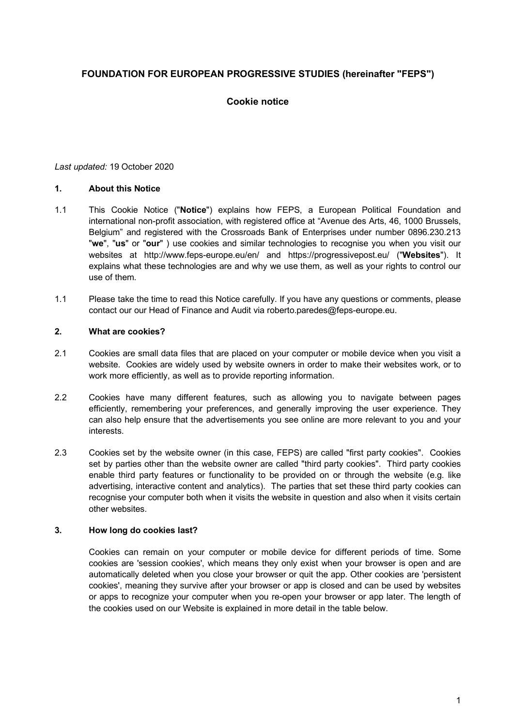# **FOUNDATION FOR EUROPEAN PROGRESSIVE STUDIES (hereinafter "FEPS")**

# **Cookie notice**

*Last updated:* 19 October 2020

## **1. About this Notice**

- 1.1 This Cookie Notice ("**Notice**") explains how FEPS, a European Political Foundation and international non-profit association, with registered office at "Avenue des Arts, 46, 1000 Brussels, Belgium" and registered with the Crossroads Bank of Enterprises under number 0896.230.213 "**we**", "**us**" or "**our**" ) use cookies and similar technologies to recognise you when you visit our websites at http://www.feps-europe.eu/en/ and https://progressivepost.eu/ ("**Websites**"). It explains what these technologies are and why we use them, as well as your rights to control our use of them.
- 1.1 Please take the time to read this Notice carefully. If you have any questions or comments, please contact our our Head of Finance and Audit via roberto.paredes@feps-europe.eu.

#### **2. What are cookies?**

- 2.1 Cookies are small data files that are placed on your computer or mobile device when you visit a website. Cookies are widely used by website owners in order to make their websites work, or to work more efficiently, as well as to provide reporting information.
- 2.2 Cookies have many different features, such as allowing you to navigate between pages efficiently, remembering your preferences, and generally improving the user experience. They can also help ensure that the advertisements you see online are more relevant to you and your interests.
- 2.3 Cookies set by the website owner (in this case, FEPS) are called "first party cookies". Cookies set by parties other than the website owner are called "third party cookies". Third party cookies enable third party features or functionality to be provided on or through the website (e.g. like advertising, interactive content and analytics). The parties that set these third party cookies can recognise your computer both when it visits the website in question and also when it visits certain other websites.

## **3. How long do cookies last?**

Cookies can remain on your computer or mobile device for different periods of time. Some cookies are 'session cookies', which means they only exist when your browser is open and are automatically deleted when you close your browser or quit the app. Other cookies are 'persistent cookies', meaning they survive after your browser or app is closed and can be used by websites or apps to recognize your computer when you re-open your browser or app later. The length of the cookies used on our Website is explained in more detail in the table below.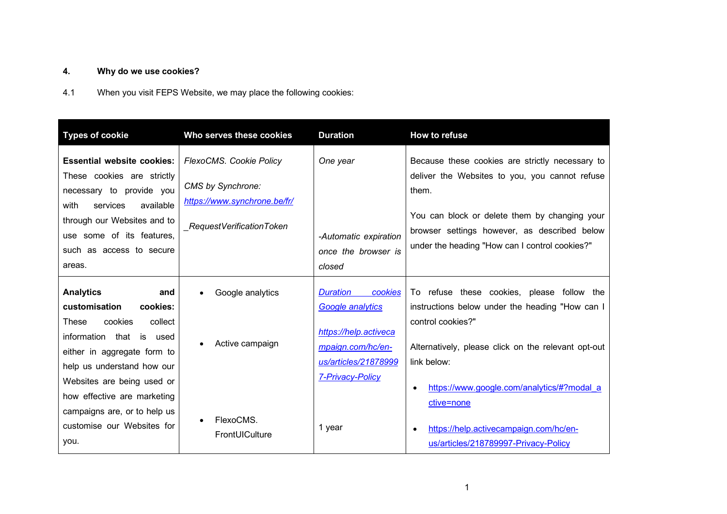# **4. Why do we use cookies?**

4.1 When you visit FEPS Website, we may place the following cookies:

| <b>Types of cookie</b>                                                                                                                                                                                                                    | Who serves these cookies                                                                                 | <b>Duration</b>                                                                                                                                 | How to refuse                                                                                                                                                                                                                                                     |
|-------------------------------------------------------------------------------------------------------------------------------------------------------------------------------------------------------------------------------------------|----------------------------------------------------------------------------------------------------------|-------------------------------------------------------------------------------------------------------------------------------------------------|-------------------------------------------------------------------------------------------------------------------------------------------------------------------------------------------------------------------------------------------------------------------|
| <b>Essential website cookies:</b><br>These cookies are strictly<br>necessary to provide you<br>available<br>with<br>services<br>through our Websites and to<br>use some of its features,<br>such as access to secure<br>areas.            | FlexoCMS. Cookie Policy<br>CMS by Synchrone:<br>https://www.synchrone.be/fr/<br>RequestVerificationToken | One year<br>-Automatic expiration<br>once the browser is<br>closed                                                                              | Because these cookies are strictly necessary to<br>deliver the Websites to you, you cannot refuse<br>them.<br>You can block or delete them by changing your<br>browser settings however, as described below<br>under the heading "How can I control cookies?"     |
| <b>Analytics</b><br>and<br>customisation<br>cookies:<br>cookies<br>collect<br>These<br>information that is used<br>either in aggregate form to<br>help us understand how our<br>Websites are being used or<br>how effective are marketing | Google analytics<br>Active campaign                                                                      | <b>Duration</b><br>cookies<br><b>Google analytics</b><br>https://help.activeca<br>mpaign.com/hc/en-<br>us/articles/21878999<br>7-Privacy-Policy | To refuse these cookies, please follow the<br>instructions below under the heading "How can I<br>control cookies?"<br>Alternatively, please click on the relevant opt-out<br>link below:<br>https://www.google.com/analytics/#?modal_a<br>$\bullet$<br>ctive=none |
| campaigns are, or to help us<br>customise our Websites for<br>you.                                                                                                                                                                        | FlexoCMS.<br>$\bullet$<br>FrontUICulture                                                                 | 1 year                                                                                                                                          | https://help.activecampaign.com/hc/en-<br>$\bullet$<br>us/articles/218789997-Privacy-Policy                                                                                                                                                                       |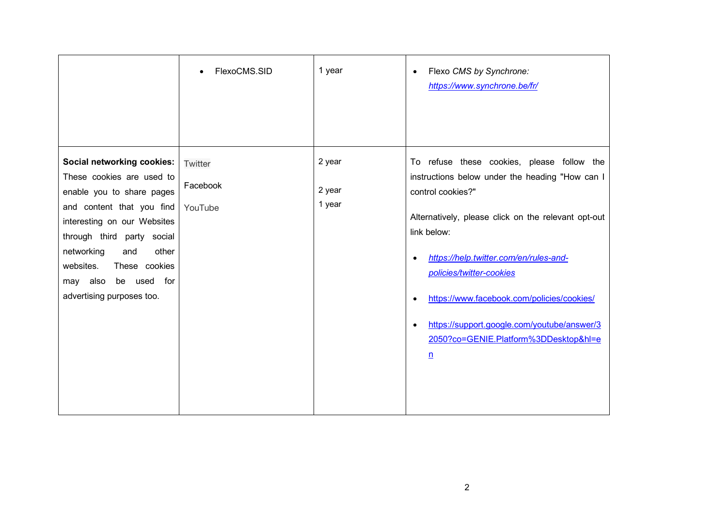|                                                                                                                                                                                                                                                                                                 | FlexoCMS.SID<br>$\bullet$      | 1 year                     | Flexo CMS by Synchrone:<br>$\bullet$<br>https://www.synchrone.be/fr/                                                                                                                                                                                                                                                                                                                                                                                       |
|-------------------------------------------------------------------------------------------------------------------------------------------------------------------------------------------------------------------------------------------------------------------------------------------------|--------------------------------|----------------------------|------------------------------------------------------------------------------------------------------------------------------------------------------------------------------------------------------------------------------------------------------------------------------------------------------------------------------------------------------------------------------------------------------------------------------------------------------------|
| Social networking cookies:<br>These cookies are used to<br>enable you to share pages<br>and content that you find<br>interesting on our Websites<br>through third party social<br>networking<br>other<br>and<br>websites.<br>These cookies<br>may also be used for<br>advertising purposes too. | Twitter<br>Facebook<br>YouTube | 2 year<br>2 year<br>1 year | To refuse these cookies, please follow the<br>instructions below under the heading "How can I<br>control cookies?"<br>Alternatively, please click on the relevant opt-out<br>link below:<br>https://help.twitter.com/en/rules-and-<br>$\bullet$<br>policies/twitter-cookies<br>https://www.facebook.com/policies/cookies/<br>$\bullet$<br>https://support.google.com/youtube/answer/3<br>$\bullet$<br>2050?co=GENIE.Platform%3DDesktop&hl=e<br>$\mathbf n$ |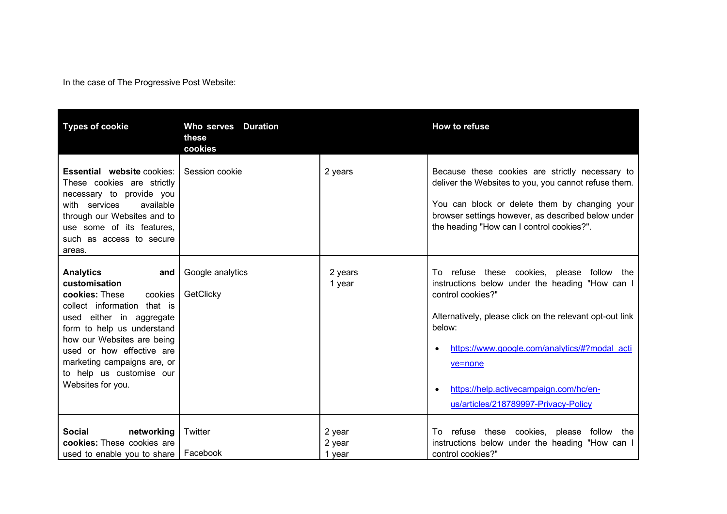In the case of The Progressive Post Website:

| Types of cookie                                                                                                                                                                                                                                                                                           | <b>Who serves Duration</b><br>these<br>cookies |                            | How to refuse                                                                                                                                                                                                                                                                                                                          |
|-----------------------------------------------------------------------------------------------------------------------------------------------------------------------------------------------------------------------------------------------------------------------------------------------------------|------------------------------------------------|----------------------------|----------------------------------------------------------------------------------------------------------------------------------------------------------------------------------------------------------------------------------------------------------------------------------------------------------------------------------------|
| <b>Essential website cookies:   Session cookie</b><br>These cookies are strictly<br>necessary to provide you<br>with services<br>available<br>through our Websites and to<br>use some of its features,<br>such as access to secure<br>areas.                                                              |                                                | 2 years                    | Because these cookies are strictly necessary to<br>deliver the Websites to you, you cannot refuse them.<br>You can block or delete them by changing your<br>browser settings however, as described below under<br>the heading "How can I control cookies?".                                                                            |
| <b>Analytics</b><br>and<br>customisation<br>cookies: These<br>cookies<br>collect information that is<br>used either in aggregate<br>form to help us understand<br>how our Websites are being<br>used or how effective are<br>marketing campaigns are, or<br>to help us customise our<br>Websites for you. | Google analytics<br>GetClicky                  | 2 years<br>1 year          | To refuse these cookies, please follow the<br>instructions below under the heading "How can I<br>control cookies?"<br>Alternatively, please click on the relevant opt-out link<br>below:<br>https://www.google.com/analytics/#?modal_acti<br>ve=none<br>https://help.activecampaign.com/hc/en-<br>us/articles/218789997-Privacy-Policy |
| <b>Social</b><br>networking<br><b>cookies:</b> These cookies are<br>used to enable you to share   Facebook                                                                                                                                                                                                | Twitter                                        | 2 year<br>2 year<br>1 year | To refuse these cookies, please follow the<br>instructions below under the heading "How can I<br>control cookies?"                                                                                                                                                                                                                     |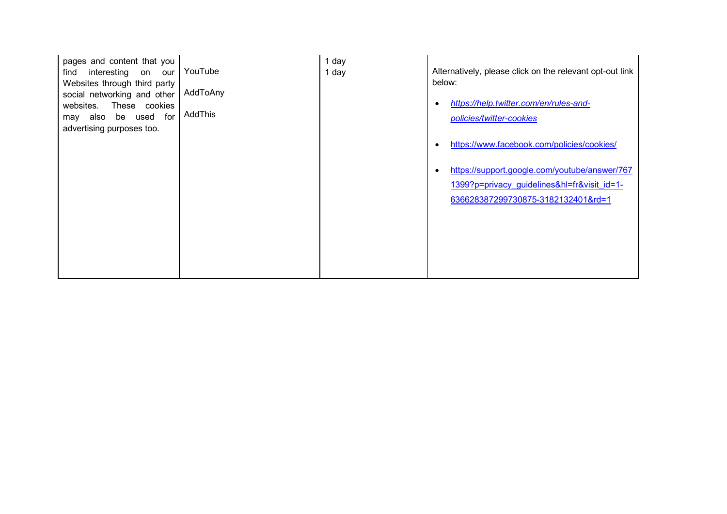| pages and content that you<br>interesting on our<br>find<br>Websites through third party<br>social networking and other<br>These cookies<br>websites.<br>also be used for<br>may<br>advertising purposes too. | YouTube<br>AddToAny<br>AddThis | day<br>1 day | Alternatively, please click on the relevant opt-out link<br>below:<br>https://help.twitter.com/en/rules-and-<br>$\bullet$<br>policies/twitter-cookies<br>https://www.facebook.com/policies/cookies/<br>$\bullet$<br>https://support.google.com/youtube/answer/767<br>$\bullet$<br>1399?p=privacy guidelines&hl=fr&visit id=1-<br>636628387299730875-3182132401&rd=1 |
|---------------------------------------------------------------------------------------------------------------------------------------------------------------------------------------------------------------|--------------------------------|--------------|---------------------------------------------------------------------------------------------------------------------------------------------------------------------------------------------------------------------------------------------------------------------------------------------------------------------------------------------------------------------|
|---------------------------------------------------------------------------------------------------------------------------------------------------------------------------------------------------------------|--------------------------------|--------------|---------------------------------------------------------------------------------------------------------------------------------------------------------------------------------------------------------------------------------------------------------------------------------------------------------------------------------------------------------------------|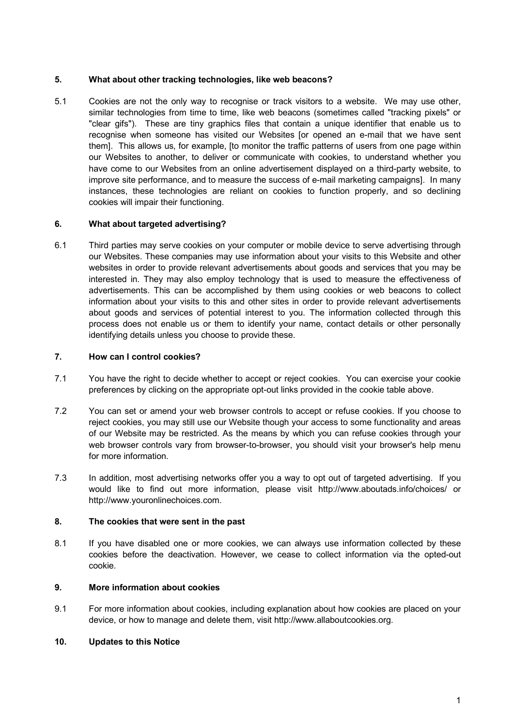# **5. What about other tracking technologies, like web beacons?**

5.1 Cookies are not the only way to recognise or track visitors to a website. We may use other, similar technologies from time to time, like web beacons (sometimes called "tracking pixels" or "clear gifs"). These are tiny graphics files that contain a unique identifier that enable us to recognise when someone has visited our Websites [or opened an e-mail that we have sent them]. This allows us, for example, [to monitor the traffic patterns of users from one page within our Websites to another, to deliver or communicate with cookies, to understand whether you have come to our Websites from an online advertisement displayed on a third-party website, to improve site performance, and to measure the success of e-mail marketing campaigns]. In many instances, these technologies are reliant on cookies to function properly, and so declining cookies will impair their functioning.

# **6. What about targeted advertising?**

6.1 Third parties may serve cookies on your computer or mobile device to serve advertising through our Websites. These companies may use information about your visits to this Website and other websites in order to provide relevant advertisements about goods and services that you may be interested in. They may also employ technology that is used to measure the effectiveness of advertisements. This can be accomplished by them using cookies or web beacons to collect information about your visits to this and other sites in order to provide relevant advertisements about goods and services of potential interest to you. The information collected through this process does not enable us or them to identify your name, contact details or other personally identifying details unless you choose to provide these.

## **7. How can I control cookies?**

- 7.1 You have the right to decide whether to accept or reject cookies. You can exercise your cookie preferences by clicking on the appropriate opt-out links provided in the cookie table above.
- 7.2 You can set or amend your web browser controls to accept or refuse cookies. If you choose to reject cookies, you may still use our Website though your access to some functionality and areas of our Website may be restricted. As the means by which you can refuse cookies through your web browser controls vary from browser-to-browser, you should visit your browser's help menu for more information.
- 7.3 In addition, most advertising networks offer you a way to opt out of targeted advertising. If you would like to find out more information, please visit http://www.aboutads.info/choices/ or http://www.youronlinechoices.com.

## **8. The cookies that were sent in the past**

8.1 If you have disabled one or more cookies, we can always use information collected by these cookies before the deactivation. However, we cease to collect information via the opted-out cookie.

# **9. More information about cookies**

9.1 For more information about cookies, including explanation about how cookies are placed on your device, or how to manage and delete them, visit http://www.allaboutcookies.org.

## **10. Updates to this Notice**